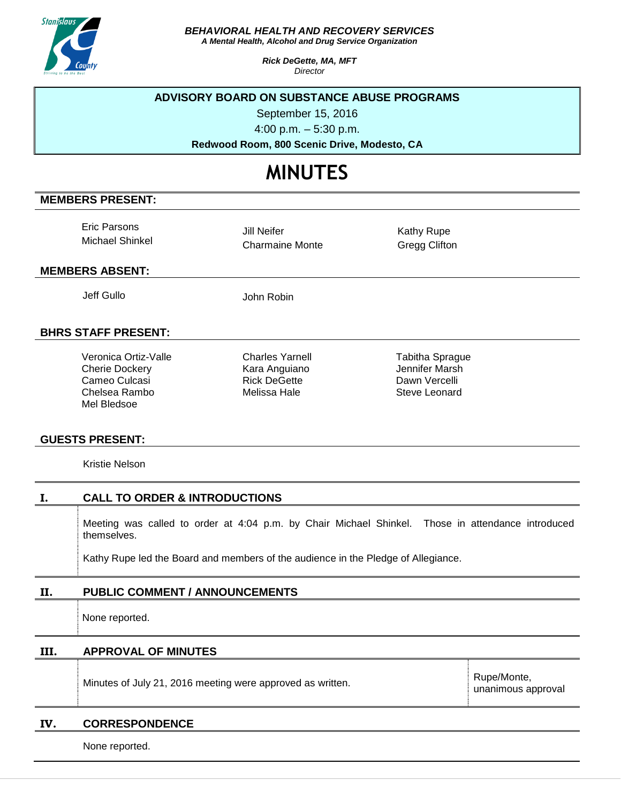

*BEHAVIORAL HEALTH AND RECOVERY SERVICES*

*A Mental Health, Alcohol and Drug Service Organization*

*Rick DeGette, MA, MFT Director*

## **ADVISORY BOARD ON SUBSTANCE ABUSE PROGRAMS**

September 15, 2016

4:00 p.m. – 5:30 p.m.

**Redwood Room, 800 Scenic Drive, Modesto, CA**

# **MINUTES**

## **MEMBERS PRESENT:**

Eric Parsons Michael Shinkel

Jill Neifer Charmaine Monte Kathy Rupe Gregg Clifton

## **MEMBERS ABSENT:**

Jeff Gullo John Robin

## **BHRS STAFF PRESENT:**

Veronica Ortiz-Valle Cherie Dockery Cameo Culcasi Chelsea Rambo Mel Bledsoe

Charles Yarnell Kara Anguiano Rick DeGette Melissa Hale

Tabitha Sprague Jennifer Marsh Dawn Vercelli Steve Leonard

## **GUESTS PRESENT:**

Kristie Nelson

|    | <b>CALL TO ORDER &amp; INTRODUCTIONS</b>                                                                         |
|----|------------------------------------------------------------------------------------------------------------------|
|    | Meeting was called to order at 4:04 p.m. by Chair Michael Shinkel. Those in attendance introduced<br>themselves. |
|    | Kathy Rupe led the Board and members of the audience in the Pledge of Allegiance.                                |
| П. | <b>PUBLIC COMMENT / ANNOUNCEMENTS</b>                                                                            |
|    | Main a namanta al                                                                                                |

None reported.

**III. APPROVAL OF MINUTES**

Minutes of July 21, 2016 meeting were approved as written.

Rupe/Monte, unanimous approval

#### **IV. CORRESPONDENCE**

None reported.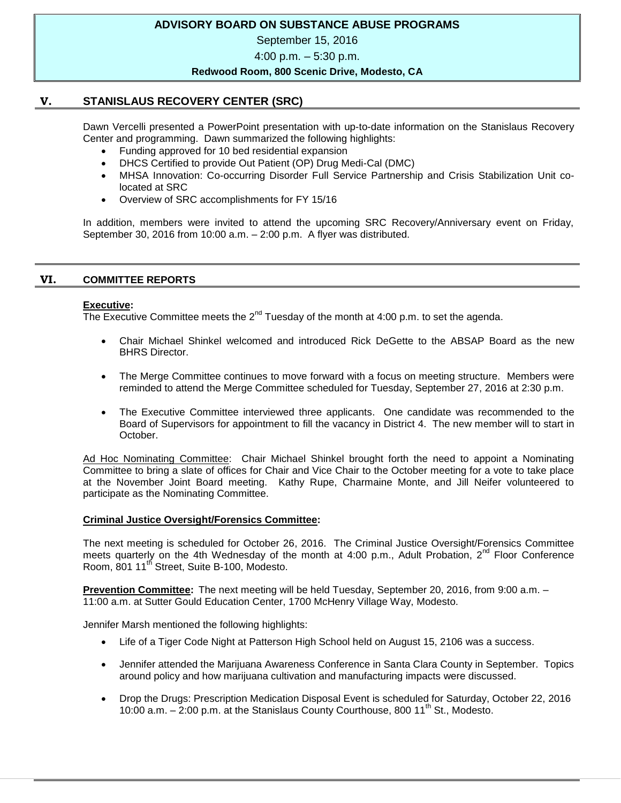## **ADVISORY BOARD ON SUBSTANCE ABUSE PROGRAMS**

September 15, 2016

4:00 p.m. – 5:30 p.m.

#### **Redwood Room, 800 Scenic Drive, Modesto, CA**

## **V. STANISLAUS RECOVERY CENTER (SRC)**

Dawn Vercelli presented a PowerPoint presentation with up-to-date information on the Stanislaus Recovery Center and programming. Dawn summarized the following highlights:

- Funding approved for 10 bed residential expansion
- DHCS Certified to provide Out Patient (OP) Drug Medi-Cal (DMC)
- MHSA Innovation: Co-occurring Disorder Full Service Partnership and Crisis Stabilization Unit colocated at SRC
- Overview of SRC accomplishments for FY 15/16

In addition, members were invited to attend the upcoming SRC Recovery/Anniversary event on Friday, September 30, 2016 from 10:00 a.m. – 2:00 p.m. A flyer was distributed.

#### **VI. COMMITTEE REPORTS**

#### **Executive:**

The Executive Committee meets the  $2^{nd}$  Tuesday of the month at 4:00 p.m. to set the agenda.

- Chair Michael Shinkel welcomed and introduced Rick DeGette to the ABSAP Board as the new BHRS Director.
- The Merge Committee continues to move forward with a focus on meeting structure. Members were reminded to attend the Merge Committee scheduled for Tuesday, September 27, 2016 at 2:30 p.m.
- The Executive Committee interviewed three applicants. One candidate was recommended to the Board of Supervisors for appointment to fill the vacancy in District 4. The new member will to start in October.

Ad Hoc Nominating Committee: Chair Michael Shinkel brought forth the need to appoint a Nominating Committee to bring a slate of offices for Chair and Vice Chair to the October meeting for a vote to take place at the November Joint Board meeting. Kathy Rupe, Charmaine Monte, and Jill Neifer volunteered to participate as the Nominating Committee.

#### **Criminal Justice Oversight/Forensics Committee:**

The next meeting is scheduled for October 26, 2016. The Criminal Justice Oversight/Forensics Committee meets quarterly on the 4th Wednesday of the month at 4:00 p.m., Adult Probation,  $2^{nd}$  Floor Conference Room, 801 11<sup>th</sup> Street, Suite B-100, Modesto.

**Prevention Committee:** The next meeting will be held Tuesday, September 20, 2016, from 9:00 a.m. – 11:00 a.m. at Sutter Gould Education Center, 1700 McHenry Village Way, Modesto.

Jennifer Marsh mentioned the following highlights:

- Life of a Tiger Code Night at Patterson High School held on August 15, 2106 was a success.
- Jennifer attended the Marijuana Awareness Conference in Santa Clara County in September. Topics around policy and how marijuana cultivation and manufacturing impacts were discussed.
- Drop the Drugs: Prescription Medication Disposal Event is scheduled for Saturday, October 22, 2016 10:00 a.m.  $-$  2:00 p.m. at the Stanislaus County Courthouse, 800 11<sup>th</sup> St., Modesto.